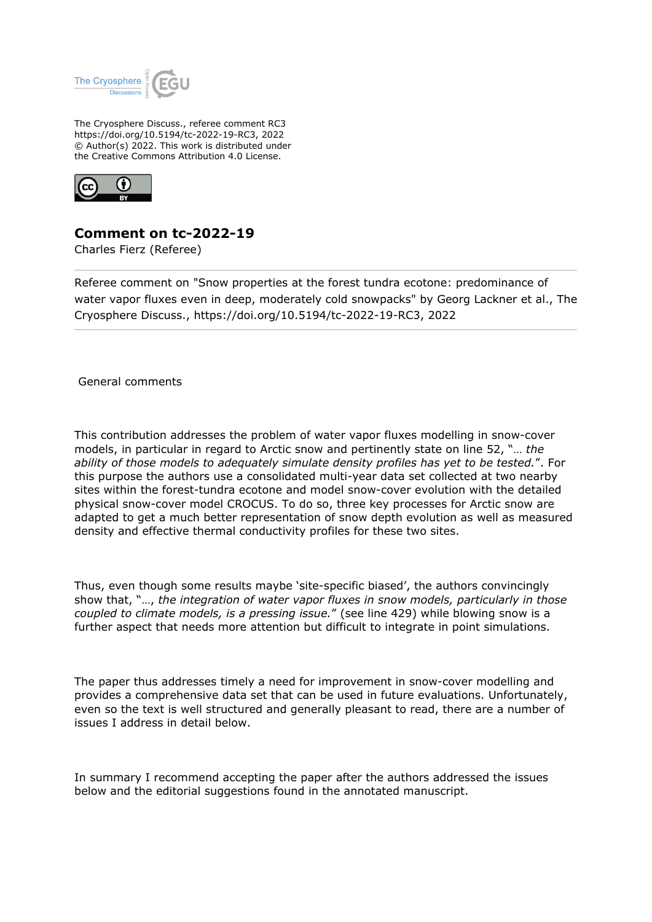

The Cryosphere Discuss., referee comment RC3 https://doi.org/10.5194/tc-2022-19-RC3, 2022 © Author(s) 2022. This work is distributed under the Creative Commons Attribution 4.0 License.



## **Comment on tc-2022-19**

Charles Fierz (Referee)

Referee comment on "Snow properties at the forest tundra ecotone: predominance of water vapor fluxes even in deep, moderately cold snowpacks" by Georg Lackner et al., The Cryosphere Discuss., https://doi.org/10.5194/tc-2022-19-RC3, 2022

General comments

This contribution addresses the problem of water vapor fluxes modelling in snow-cover models, in particular in regard to Arctic snow and pertinently state on line 52, "… *the ability of those models to adequately simulate density profiles has yet to be tested.*". For this purpose the authors use a consolidated multi-year data set collected at two nearby sites within the forest-tundra ecotone and model snow-cover evolution with the detailed physical snow-cover model CROCUS. To do so, three key processes for Arctic snow are adapted to get a much better representation of snow depth evolution as well as measured density and effective thermal conductivity profiles for these two sites.

Thus, even though some results maybe 'site-specific biased', the authors convincingly show that, "…, *the integration of water vapor fluxes in snow models, particularly in those coupled to climate models, is a pressing issue.*" (see line 429) while blowing snow is a further aspect that needs more attention but difficult to integrate in point simulations.

The paper thus addresses timely a need for improvement in snow-cover modelling and provides a comprehensive data set that can be used in future evaluations. Unfortunately, even so the text is well structured and generally pleasant to read, there are a number of issues I address in detail below.

In summary I recommend accepting the paper after the authors addressed the issues below and the editorial suggestions found in the annotated manuscript.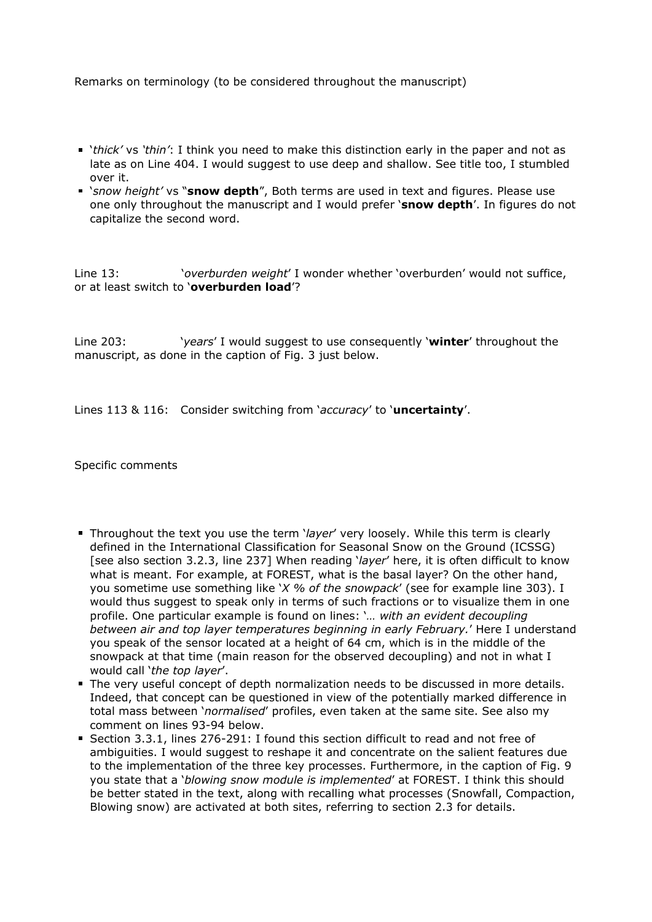Remarks on terminology (to be considered throughout the manuscript)

- '*thick'* vs *'thin'*: I think you need to make this distinction early in the paper and not as late as on Line 404. I would suggest to use deep and shallow. See title too, I stumbled over it.
- '*snow height'* vs "**snow depth**", Both terms are used in text and figures. Please use one only throughout the manuscript and I would prefer '**snow depth**'. In figures do not capitalize the second word.

Line 13: '*overburden weight*' I wonder whether 'overburden' would not suffice, or at least switch to '**overburden load**'?

Line 203: '*years*' I would suggest to use consequently '**winter**' throughout the manuscript, as done in the caption of Fig. 3 just below.

Lines 113 & 116: Consider switching from '*accuracy*' to '**uncertainty**'.

Specific comments

- Throughout the text you use the term '*layer*' very loosely. While this term is clearly defined in the International Classification for Seasonal Snow on the Ground (ICSSG) [see also section 3.2.3, line 237] When reading '*layer*' here, it is often difficult to know what is meant. For example, at FOREST, what is the basal layer? On the other hand, you sometime use something like '*X % of the snowpack*' (see for example line 303). I would thus suggest to speak only in terms of such fractions or to visualize them in one profile. One particular example is found on lines: '*… with an evident decoupling between air and top layer temperatures beginning in early February.*' Here I understand you speak of the sensor located at a height of 64 cm, which is in the middle of the snowpack at that time (main reason for the observed decoupling) and not in what I would call '*the top layer*'.
- The very useful concept of depth normalization needs to be discussed in more details. Indeed, that concept can be questioned in view of the potentially marked difference in total mass between '*normalised*' profiles, even taken at the same site. See also my comment on lines 93-94 below.
- Section 3.3.1, lines 276-291: I found this section difficult to read and not free of ambiguities. I would suggest to reshape it and concentrate on the salient features due to the implementation of the three key processes. Furthermore, in the caption of Fig. 9 you state that a '*blowing snow module is implemented*' at FOREST. I think this should be better stated in the text, along with recalling what processes (Snowfall, Compaction, Blowing snow) are activated at both sites, referring to section 2.3 for details.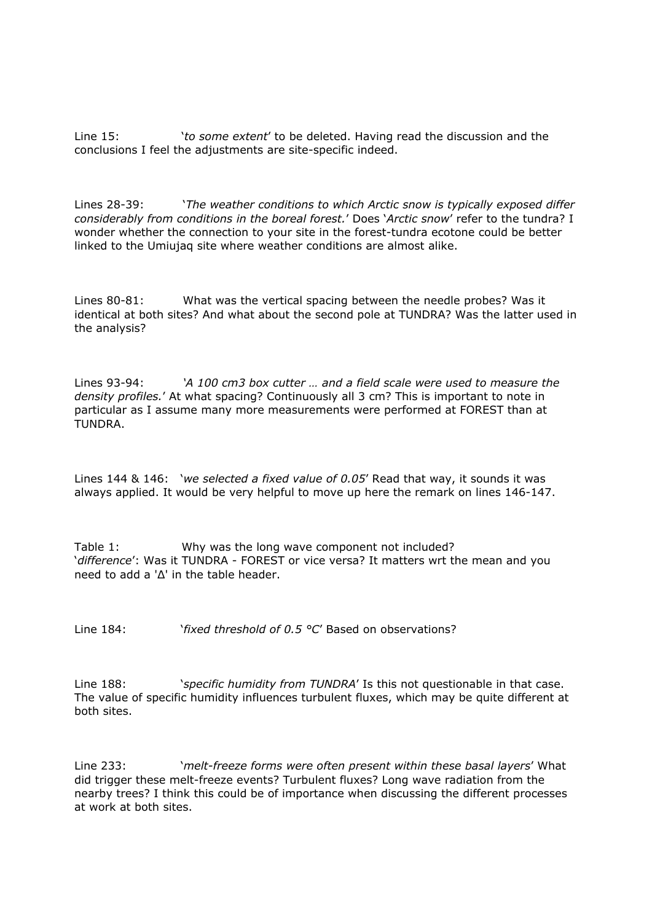Line 15: '*to some extent*' to be deleted. Having read the discussion and the conclusions I feel the adjustments are site-specific indeed.

Lines 28-39: '*The weather conditions to which Arctic snow is typically exposed differ considerably from conditions in the boreal forest.*' Does '*Arctic snow*' refer to the tundra? I wonder whether the connection to your site in the forest-tundra ecotone could be better linked to the Umiujaq site where weather conditions are almost alike.

Lines 80-81: What was the vertical spacing between the needle probes? Was it identical at both sites? And what about the second pole at TUNDRA? Was the latter used in the analysis?

Lines 93-94: *'A 100 cm3 box cutter … and a field scale were used to measure the density profiles.*' At what spacing? Continuously all 3 cm? This is important to note in particular as I assume many more measurements were performed at FOREST than at TUNDRA.

Lines 144 & 146: '*we selected a fixed value of 0.05*' Read that way, it sounds it was always applied. It would be very helpful to move up here the remark on lines 146-147.

Table 1: Why was the long wave component not included? '*difference*': Was it TUNDRA - FOREST or vice versa? It matters wrt the mean and you need to add a 'Δ' in the table header.

Line 184: '*fixed threshold of 0.5 °C*' Based on observations?

Line 188: *'specific humidity from TUNDRA'* Is this not questionable in that case. The value of specific humidity influences turbulent fluxes, which may be quite different at both sites.

Line 233: '*melt-freeze forms were often present within these basal layers*' What did trigger these melt-freeze events? Turbulent fluxes? Long wave radiation from the nearby trees? I think this could be of importance when discussing the different processes at work at both sites.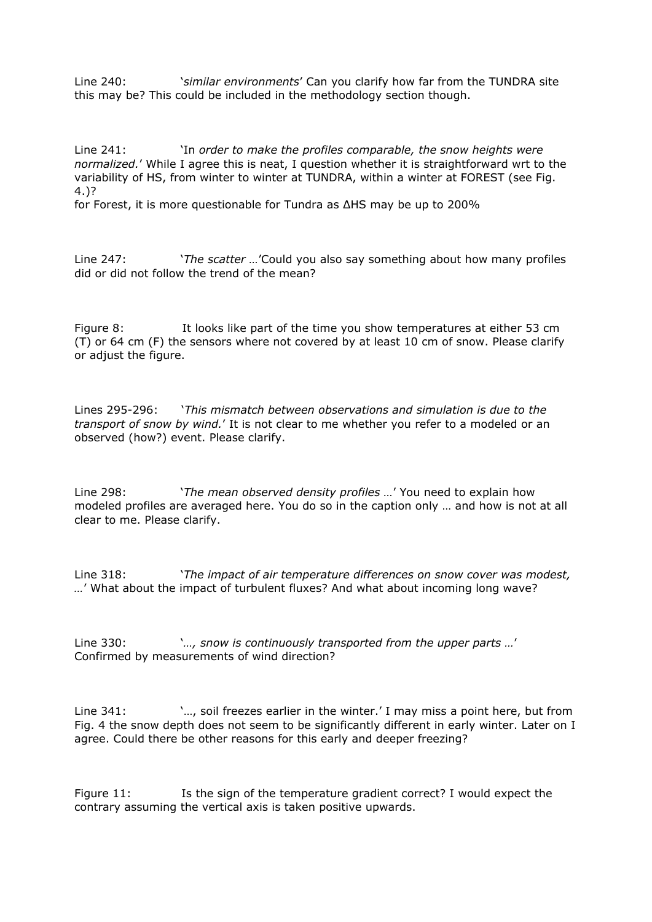Line 240: '*similar environments*' Can you clarify how far from the TUNDRA site this may be? This could be included in the methodology section though.

Line 241: 'In *order to make the profiles comparable, the snow heights were normalized.*' While I agree this is neat, I question whether it is straightforward wrt to the variability of HS, from winter to winter at TUNDRA, within a winter at FOREST (see Fig. 4.)?

for Forest, it is more questionable for Tundra as ΔHS may be up to 200%

Line 247: '*The scatter …*'Could you also say something about how many profiles did or did not follow the trend of the mean?

Figure 8: It looks like part of the time you show temperatures at either 53 cm (T) or 64 cm (F) the sensors where not covered by at least 10 cm of snow. Please clarify or adjust the figure.

Lines 295-296: '*This mismatch between observations and simulation is due to the transport of snow by wind.*' It is not clear to me whether you refer to a modeled or an observed (how?) event. Please clarify.

Line 298: '*The mean observed density profiles …*' You need to explain how modeled profiles are averaged here. You do so in the caption only … and how is not at all clear to me. Please clarify.

Line 318: '*The impact of air temperature differences on snow cover was modest, …*' What about the impact of turbulent fluxes? And what about incoming long wave?

Line 330: '*…, snow is continuously transported from the upper parts …*' Confirmed by measurements of wind direction?

Line 341:  $\ldots$ , soil freezes earlier in the winter.' I may miss a point here, but from Fig. 4 the snow depth does not seem to be significantly different in early winter. Later on I agree. Could there be other reasons for this early and deeper freezing?

Figure 11: Is the sign of the temperature gradient correct? I would expect the contrary assuming the vertical axis is taken positive upwards.